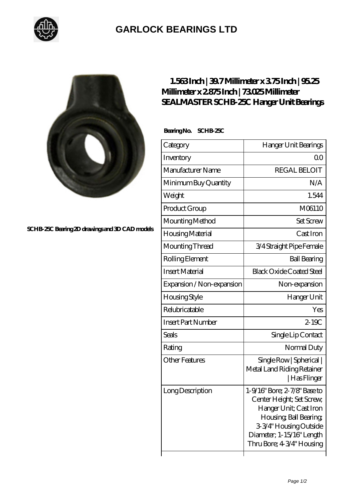

## **[GARLOCK BEARINGS LTD](https://m.letterstopriests.com)**



**[SCHB-25C Bearing 2D drawings and 3D CAD models](https://m.letterstopriests.com/pic-189229.html)**

## **[1.563 Inch | 39.7 Millimeter x 3.75 Inch | 95.25](https://m.letterstopriests.com/bs-189229-sealmaster-schb-25c-hanger-unit-bearings.html) [Millimeter x 2.875 Inch | 73.025 Millimeter](https://m.letterstopriests.com/bs-189229-sealmaster-schb-25c-hanger-unit-bearings.html) [SEALMASTER SCHB-25C Hanger Unit Bearings](https://m.letterstopriests.com/bs-189229-sealmaster-schb-25c-hanger-unit-bearings.html)**

 **Bearing No. SCHB-25C**

| Category                  | Hanger Unit Bearings                                                                                                                                                                              |
|---------------------------|---------------------------------------------------------------------------------------------------------------------------------------------------------------------------------------------------|
| Inventory                 | Q0                                                                                                                                                                                                |
| Manufacturer Name         | <b>REGAL BELOIT</b>                                                                                                                                                                               |
| Minimum Buy Quantity      | N/A                                                                                                                                                                                               |
| Weight                    | 1.544                                                                                                                                                                                             |
| Product Group             | M06110                                                                                                                                                                                            |
| Mounting Method           | <b>Set Screw</b>                                                                                                                                                                                  |
| Housing Material          | Cast Iron                                                                                                                                                                                         |
| Mounting Thread           | 3/4 Straight Pipe Female                                                                                                                                                                          |
| Rolling Element           | <b>Ball Bearing</b>                                                                                                                                                                               |
| <b>Insert Material</b>    | <b>Black Oxide Coated Steel</b>                                                                                                                                                                   |
| Expansion / Non-expansion | Non-expansion                                                                                                                                                                                     |
| Housing Style             | Hanger Unit                                                                                                                                                                                       |
| Relubricatable            | Yes                                                                                                                                                                                               |
| <b>Insert Part Number</b> | $2-19C$                                                                                                                                                                                           |
| Seals                     | Single Lip Contact                                                                                                                                                                                |
| Rating                    | Normal Duty                                                                                                                                                                                       |
| <b>Other Features</b>     | Single Row   Spherical  <br>Metal Land Riding Retainer<br>  Has Flinger                                                                                                                           |
| Long Description          | 1-9/16" Bore; 2-7/8" Base to<br>Center Height; Set Screw,<br>Hanger Unit; Cast Iron<br>Housing, Ball Bearing,<br>3-3/4" Housing Outside<br>Diameter; 1-15/16" Length<br>Thru Bore; 4 3/4" Housing |